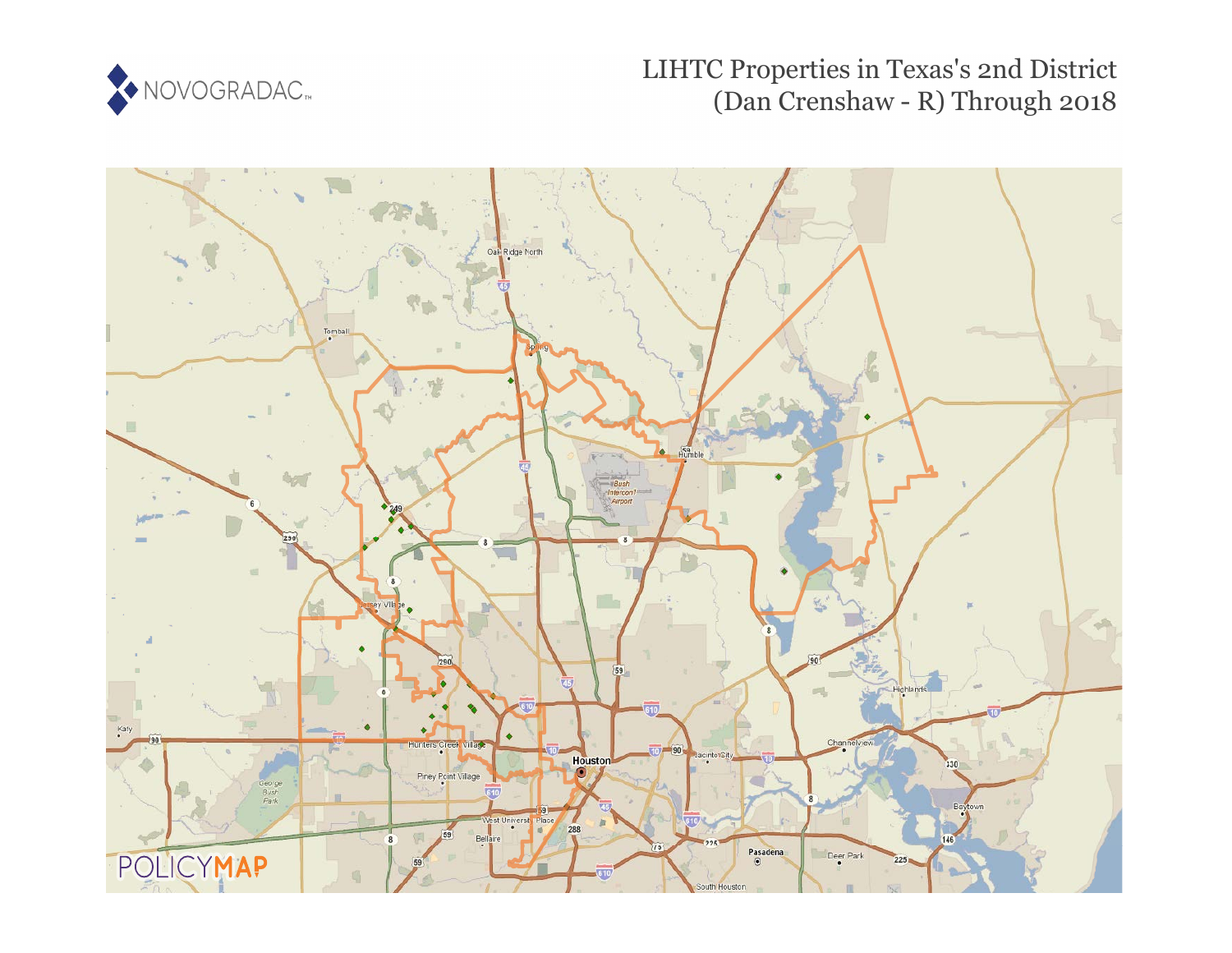

## LIHTC Properties in Texas's 2nd District (Dan Crenshaw - R) Through 2018

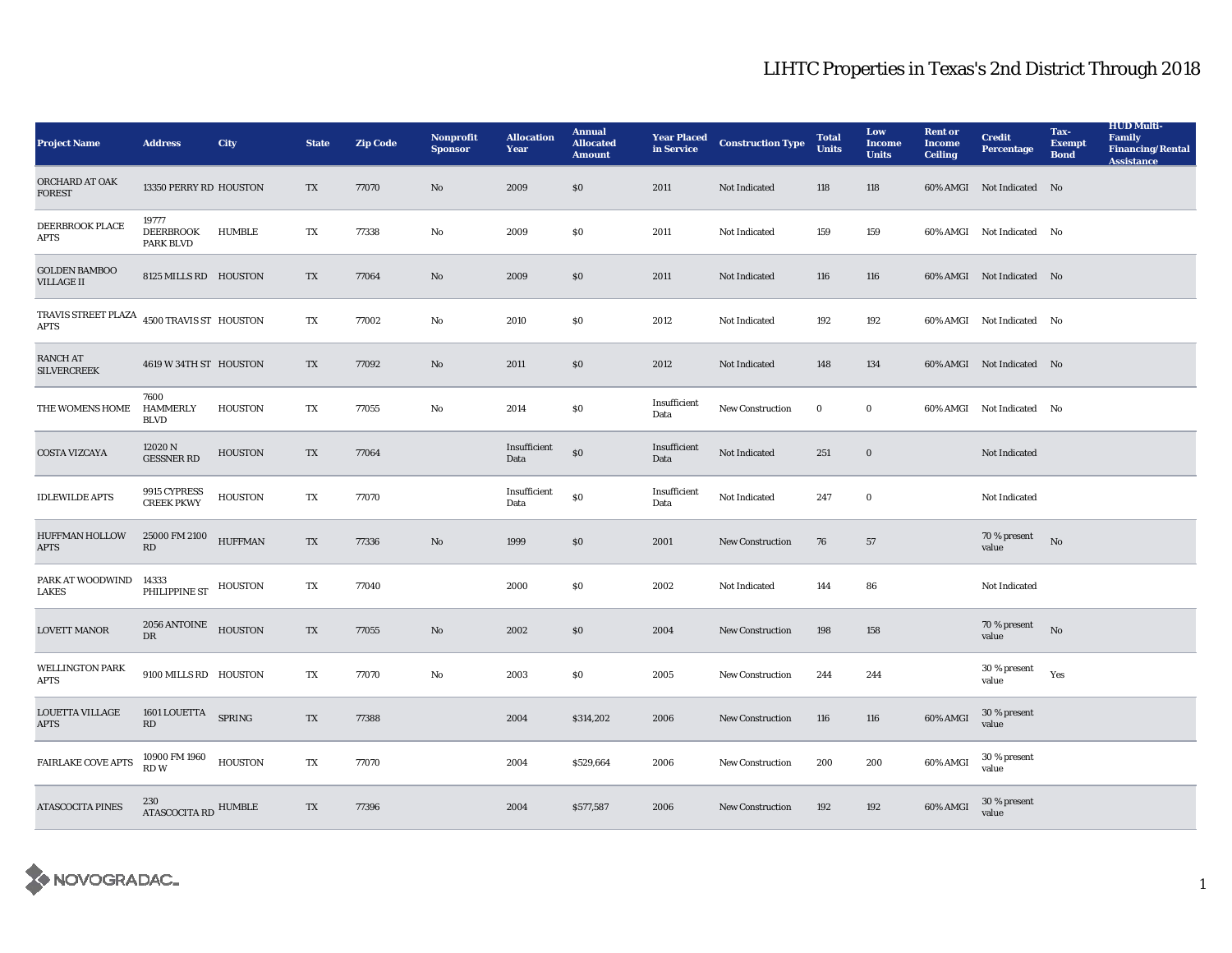## LIHTC Properties in Texas's 2nd District Through 2018

| <b>Project Name</b>                                                 | <b>Address</b>                                | <b>City</b>    | <b>State</b> | <b>Zip Code</b> | Nonprofit<br><b>Sponsor</b> | <b>Allocation</b><br>Year | <b>Annual</b><br><b>Allocated</b><br><b>Amount</b> | <b>Year Placed</b><br>in Service | <b>Construction Type</b> | <b>Total</b><br><b>Units</b> | Low<br><b>Income</b><br><b>Units</b> | <b>Rent or</b><br><b>Income</b><br><b>Ceiling</b> | <b>Credit</b><br><b>Percentage</b> | Tax-<br><b>Exempt</b><br><b>Bond</b> | <b>HUD Multi-</b><br><b>Family</b><br><b>Financing/Rental</b><br><b>Assistance</b> |
|---------------------------------------------------------------------|-----------------------------------------------|----------------|--------------|-----------------|-----------------------------|---------------------------|----------------------------------------------------|----------------------------------|--------------------------|------------------------------|--------------------------------------|---------------------------------------------------|------------------------------------|--------------------------------------|------------------------------------------------------------------------------------|
| ORCHARD AT OAK<br><b>FOREST</b>                                     | 13350 PERRY RD HOUSTON                        |                | TX           | 77070           | No                          | 2009                      | \$0                                                | 2011                             | Not Indicated            | 118                          | 118                                  |                                                   | 60% AMGI Not Indicated No          |                                      |                                                                                    |
| DEERBROOK PLACE<br><b>APTS</b>                                      | 19777<br><b>DEERBROOK</b><br><b>PARK BLVD</b> | HUMBLE         | TX           | 77338           | No                          | 2009                      | \$0                                                | 2011                             | Not Indicated            | 159                          | 159                                  |                                                   | 60% AMGI Not Indicated No          |                                      |                                                                                    |
| <b>GOLDEN BAMBOO</b><br><b>VILLAGE II</b>                           | 8125 MILLS RD HOUSTON                         |                | TX           | 77064           | No                          | 2009                      | \$0                                                | 2011                             | Not Indicated            | 116                          | 116                                  |                                                   | 60% AMGI Not Indicated No          |                                      |                                                                                    |
| TRAVIS STREET PLAZA $\,$ 4500 TRAVIS ST $\,$ HOUSTON<br><b>APTS</b> |                                               |                | TX           | 77002           | No                          | 2010                      | \$0                                                | 2012                             | Not Indicated            | 192                          | 192                                  |                                                   | 60% AMGI Not Indicated No          |                                      |                                                                                    |
| <b>RANCH AT</b><br><b>SILVERCREEK</b>                               | 4619 W 34TH ST HOUSTON                        |                | TX           | 77092           | No                          | 2011                      | $\$0$                                              | 2012                             | Not Indicated            | 148                          | 134                                  |                                                   | 60% AMGI Not Indicated No          |                                      |                                                                                    |
| THE WOMENS HOME                                                     | 7600<br><b>HAMMERLY</b><br><b>BLVD</b>        | <b>HOUSTON</b> | TX           | 77055           | No                          | 2014                      | \$0                                                | Insufficient<br>Data             | New Construction         | $\bf{0}$                     | $\bf{0}$                             | 60% AMGI                                          | Not Indicated No                   |                                      |                                                                                    |
| <b>COSTA VIZCAYA</b>                                                | 12020 N<br><b>GESSNER RD</b>                  | <b>HOUSTON</b> | TX           | 77064           |                             | Insufficient<br>Data      | $\$0$                                              | Insufficient<br>Data             | Not Indicated            | 251                          | $\bf{0}$                             |                                                   | Not Indicated                      |                                      |                                                                                    |
| <b>IDLEWILDE APTS</b>                                               | 9915 CYPRESS<br><b>CREEK PKWY</b>             | <b>HOUSTON</b> | TX           | 77070           |                             | Insufficient<br>Data      | \$0                                                | Insufficient<br>Data             | Not Indicated            | 247                          | $\bf{0}$                             |                                                   | Not Indicated                      |                                      |                                                                                    |
| <b>HUFFMAN HOLLOW</b><br><b>APTS</b>                                | 25000 FM 2100<br>RD                           | <b>HUFFMAN</b> | TX           | 77336           | No                          | 1999                      | \$0                                                | 2001                             | New Construction         | 76                           | 57                                   |                                                   | 70 % present<br>value              | No                                   |                                                                                    |
| PARK AT WOODWIND<br>LAKES                                           | 14333<br>PHILIPPINE ST                        | HOUSTON        | TX           | 77040           |                             | 2000                      | \$0                                                | 2002                             | Not Indicated            | 144                          | 86                                   |                                                   | Not Indicated                      |                                      |                                                                                    |
| <b>LOVETT MANOR</b>                                                 | 2056 ANTOINE HOUSTON<br>DR                    |                | TX           | 77055           | No                          | 2002                      | $\$0$                                              | 2004                             | New Construction         | 198                          | 158                                  |                                                   | 70 % present<br>value              | No                                   |                                                                                    |
| <b>WELLINGTON PARK</b><br><b>APTS</b>                               | 9100 MILLS RD HOUSTON                         |                | TX           | 77070           | No                          | 2003                      | \$0                                                | 2005                             | <b>New Construction</b>  | 244                          | 244                                  |                                                   | 30 % present<br>value              | Yes                                  |                                                                                    |
| <b>LOUETTA VILLAGE</b><br><b>APTS</b>                               | 1601 LOUETTA SPRING<br>RD                     |                | TX           | 77388           |                             | 2004                      | \$314,202                                          | 2006                             | <b>New Construction</b>  | 116                          | 116                                  | 60% AMGI                                          | 30 % present<br>value              |                                      |                                                                                    |
| <b>FAIRLAKE COVE APTS</b>                                           | $10900\ \mathrm{FM}\ 1960$<br><b>RDW</b>      | <b>HOUSTON</b> | TX           | 77070           |                             | 2004                      | \$529,664                                          | 2006                             | New Construction         | 200                          | 200                                  | 60% AMGI                                          | 30 % present<br>value              |                                      |                                                                                    |
| <b>ATASCOCITA PINES</b>                                             | 230<br>ATASCOCITA RD HUMBLE                   |                | TX           | 77396           |                             | 2004                      | \$577,587                                          | 2006                             | <b>New Construction</b>  | 192                          | 192                                  | 60% AMGI                                          | 30 % present<br>value              |                                      |                                                                                    |

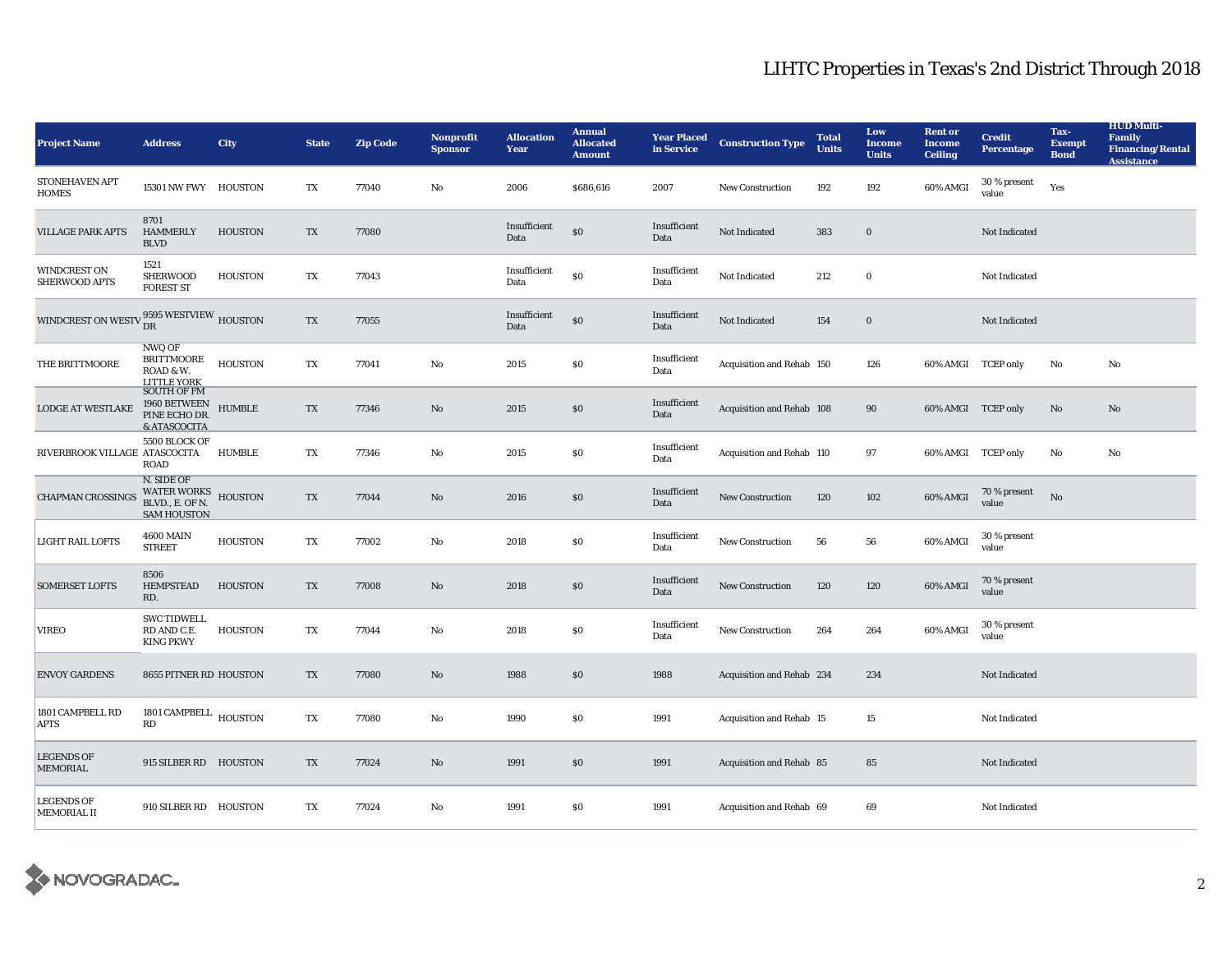## LIHTC Properties in Texas's 2nd District Through 2018

| <b>Project Name</b>                  | <b>Address</b>                                                        | <b>City</b>    | <b>State</b> | <b>Zip Code</b> | <b>Nonprofit</b><br><b>Sponsor</b> | <b>Allocation</b><br>Year | <b>Annual</b><br><b>Allocated</b><br><b>Amount</b> | <b>Year Placed</b><br>in Service | <b>Construction Type</b>  | <b>Total</b><br><b>Units</b> | Low<br><b>Income</b><br><b>Units</b> | <b>Rent or</b><br><b>Income</b><br><b>Ceiling</b> | <b>Credit</b><br><b>Percentage</b> | Tax-<br><b>Exempt</b><br><b>Bond</b> | <b>HUD Multi-</b><br><b>Family</b><br><b>Financing/Rental</b><br><b>Assistance</b> |
|--------------------------------------|-----------------------------------------------------------------------|----------------|--------------|-----------------|------------------------------------|---------------------------|----------------------------------------------------|----------------------------------|---------------------------|------------------------------|--------------------------------------|---------------------------------------------------|------------------------------------|--------------------------------------|------------------------------------------------------------------------------------|
| STONEHAVEN APT<br><b>HOMES</b>       | 15301 NW FWY HOUSTON                                                  |                | TX           | 77040           | No                                 | 2006                      | \$686,616                                          | 2007                             | New Construction          | 192                          | 192                                  | 60% AMGI                                          | 30 % present<br>value              | Yes                                  |                                                                                    |
| <b>VILLAGE PARK APTS</b>             | 8701<br><b>HAMMERLY</b><br><b>BLVD</b>                                | <b>HOUSTON</b> | TX           | 77080           |                                    | Insufficient<br>Data      | $\$0$                                              | Insufficient<br>Data             | Not Indicated             | 383                          | $\bf{0}$                             |                                                   | Not Indicated                      |                                      |                                                                                    |
| WINDCREST ON<br>SHERWOOD APTS        | 1521<br><b>SHERWOOD</b><br><b>FOREST ST</b>                           | <b>HOUSTON</b> | TX           | 77043           |                                    | Insufficient<br>Data      | \$0                                                | Insufficient<br>Data             | Not Indicated             | 212                          | $\bf{0}$                             |                                                   | <b>Not Indicated</b>               |                                      |                                                                                    |
| <b>WINDCREST ON WEST</b>             | 9595 WESTVIEW HOUSTON<br>DR                                           |                | TX           | 77055           |                                    | Insufficient<br>Data      | \$0                                                | Insufficient<br>Data             | Not Indicated             | 154                          | $\bf{0}$                             |                                                   | Not Indicated                      |                                      |                                                                                    |
| THE BRITTMOORE                       | <b>NWQ OF</b><br><b>BRITTMOORE</b><br>ROAD & W.<br><b>LITTLE YORK</b> | <b>HOUSTON</b> | TX           | 77041           | No                                 | 2015                      | \$0                                                | Insufficient<br>Data             | Acquisition and Rehab 150 |                              | 126                                  | 60% AMGI TCEP only                                |                                    | No                                   | No                                                                                 |
| <b>LODGE AT WESTLAKE</b>             | <b>SOUTH OF FM</b><br>1960 BETWEEN<br>PINE ECHO DR.<br>& ATASCOCITA   | <b>HUMBLE</b>  | TX           | 77346           | No                                 | 2015                      | \$0                                                | Insufficient<br>Data             | Acquisition and Rehab 108 |                              | 90                                   | 60% AMGI TCEP only                                |                                    | No                                   | No                                                                                 |
| RIVERBROOK VILLAGE ATASCOCITA        | 5500 BLOCK OF<br><b>ROAD</b>                                          | HUMBLE         | TX           | 77346           | No                                 | 2015                      | \$0                                                | Insufficient<br>Data             | Acquisition and Rehab 110 |                              | 97                                   | 60% AMGI TCEP only                                |                                    | No                                   | No                                                                                 |
| <b>CHAPMAN CROSSINGS</b>             | N. SIDE OF<br>WATER WORKS<br>BLVD., E. OF N.<br><b>SAM HOUSTON</b>    | <b>HOUSTON</b> | TX           | 77044           | No                                 | 2016                      | \$0                                                | Insufficient<br>Data             | <b>New Construction</b>   | 120                          | 102                                  | 60% AMGI                                          | 70 % present<br>value              | $\mathbf{N}\mathbf{o}$               |                                                                                    |
| <b>LIGHT RAIL LOFTS</b>              | <b>4600 MAIN</b><br><b>STREET</b>                                     | <b>HOUSTON</b> | TX           | 77002           | No                                 | 2018                      | \$0                                                | Insufficient<br>Data             | <b>New Construction</b>   | 56                           | 56                                   | 60% AMGI                                          | 30 % present<br>value              |                                      |                                                                                    |
| <b>SOMERSET LOFTS</b>                | 8506<br><b>HEMPSTEAD</b><br>RD.                                       | <b>HOUSTON</b> | TX           | 77008           | No                                 | 2018                      | \$0                                                | Insufficient<br>Data             | New Construction          | 120                          | 120                                  | 60% AMGI                                          | 70 % present<br>value              |                                      |                                                                                    |
| <b>VIREO</b>                         | <b>SWC TIDWELL</b><br>RD AND C.E.<br><b>KING PKWY</b>                 | <b>HOUSTON</b> | TX           | 77044           | No                                 | 2018                      | $\$0$                                              | Insufficient<br>Data             | New Construction          | 264                          | 264                                  | 60% AMGI                                          | 30 % present<br>value              |                                      |                                                                                    |
| <b>ENVOY GARDENS</b>                 | 8655 PITNER RD HOUSTON                                                |                | TX           | 77080           | No                                 | 1988                      | \$0                                                | 1988                             | Acquisition and Rehab 234 |                              | 234                                  |                                                   | Not Indicated                      |                                      |                                                                                    |
| 1801 CAMPBELL RD<br><b>APTS</b>      | 1801 CAMPBELL HOUSTON<br>RD                                           |                | TX           | 77080           | No                                 | 1990                      | \$0                                                | 1991                             | Acquisition and Rehab 15  |                              | 15                                   |                                                   | <b>Not Indicated</b>               |                                      |                                                                                    |
| <b>LEGENDS OF</b><br><b>MEMORIAL</b> | 915 SILBER RD HOUSTON                                                 |                | TX           | 77024           | No                                 | 1991                      | \$0                                                | 1991                             | Acquisition and Rehab 85  |                              | 85                                   |                                                   | Not Indicated                      |                                      |                                                                                    |
| <b>LEGENDS OF</b><br>MEMORIAL II     | 910 SILBER RD HOUSTON                                                 |                | TX           | 77024           | No                                 | 1991                      | \$0                                                | 1991                             | Acquisition and Rehab 69  |                              | 69                                   |                                                   | Not Indicated                      |                                      |                                                                                    |